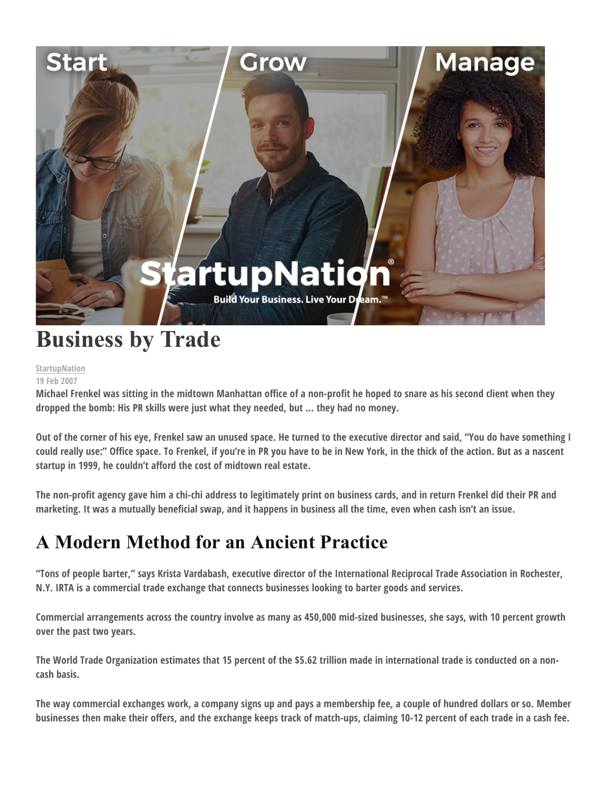

# **Business by Trade**

#### **StartupNation 19 Feb 2007**

**Michael Frenkel was sitting in the midtown Manhattan office of a non-profit he hoped to snare as his second client when they dropped the bomb: His PR skills were just what they needed, but … they had no money.**

**Out of the corner of his eye, Frenkel saw an unused space. He turned to the executive director and said, "You do have something I could really use:" Office space. To Frenkel, if you're in PR you have to be in New York, in the thick of the action. But as a nascent startup in 1999, he couldn't afford the cost of midtown real estate.**

**The non-profit agency gave him a chi-chi address to legitimately print on business cards, and in return Frenkel did their PR and marketing. It was a mutually beneficial swap, and it happens in business all the time, even when cash isn't an issue.**

## **A Modern Method for an Ancient Practice**

**"Tons of people barter," says Krista Vardabash, executive director of the International Reciprocal Trade Association in Rochester, N.Y. IRTA is a commercial trade exchange that connects businesses looking to barter goods and services.**

**Commercial arrangements across the country involve as many as 450,000 mid-sized businesses, she says, with 10 percent growth over the past two years.**

**The World Trade Organization estimates that 15 percent of the \$5.62 trillion made in international trade is conducted on a noncash basis.**

**The way commercial exchanges work, a company signs up and pays a membership fee, a couple of hundred dollars or so. Member businesses then make their offers, and the exchange keeps track of match-ups, claiming 10-12 percent of each trade in a cash fee.**